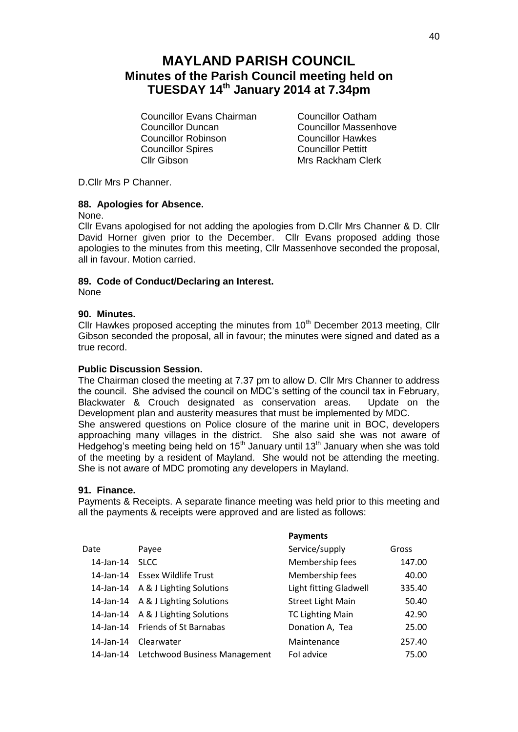# **MAYLAND PARISH COUNCIL Minutes of the Parish Council meeting held on TUESDAY 14th January 2014 at 7.34pm**

Councillor Evans Chairman Councillor Oatham Councillor Duncan<br>
Councillor Robinson<br>
Councillor Hawkes Councillor Robinson Councillor Spires<br>
Councillor Pettitt<br>
Clic Gibson<br>
Mrs Rackham Cl

Mrs Rackham Clerk

D.Cllr Mrs P Channer.

## **88. Apologies for Absence.**

None.

Cllr Evans apologised for not adding the apologies from D.Cllr Mrs Channer & D. Cllr David Horner given prior to the December. Cllr Evans proposed adding those apologies to the minutes from this meeting, Cllr Massenhove seconded the proposal, all in favour. Motion carried.

## **89. Code of Conduct/Declaring an Interest.**

None

## **90. Minutes.**

Cllr Hawkes proposed accepting the minutes from  $10<sup>th</sup>$  December 2013 meeting, Cllr Gibson seconded the proposal, all in favour; the minutes were signed and dated as a true record.

## **Public Discussion Session.**

The Chairman closed the meeting at 7.37 pm to allow D. Cllr Mrs Channer to address the council. She advised the council on MDC's setting of the council tax in February, Blackwater & Crouch designated as conservation areas. Update on the Development plan and austerity measures that must be implemented by MDC. She answered questions on Police closure of the marine unit in BOC, developers approaching many villages in the district. She also said she was not aware of Hedgehog's meeting being held on  $15<sup>th</sup>$  January until  $13<sup>th</sup>$  January when she was told of the meeting by a resident of Mayland. She would not be attending the meeting. She is not aware of MDC promoting any developers in Mayland.

## **91. Finance.**

Payments & Receipts. A separate finance meeting was held prior to this meeting and all the payments & receipts were approved and are listed as follows:

**Payments**

| Date      | Payee                                   | Service/supply           | Gross  |
|-----------|-----------------------------------------|--------------------------|--------|
| 14-Jan-14 | <b>SLCC</b>                             | Membership fees          | 147.00 |
|           | 14-Jan-14 Essex Wildlife Trust          | Membership fees          | 40.00  |
|           | 14-Jan-14 A & J Lighting Solutions      | Light fitting Gladwell   | 335.40 |
|           | 14-Jan-14 A & J Lighting Solutions      | <b>Street Light Main</b> | 50.40  |
|           | 14-Jan-14 A & J Lighting Solutions      | <b>TC Lighting Main</b>  | 42.90  |
|           | 14-Jan-14 Friends of St Barnabas        | Donation A, Tea          | 25.00  |
| 14-Jan-14 | Clearwater                              | Maintenance              | 257.40 |
|           | 14-Jan-14 Letchwood Business Management | Fol advice               | 75.00  |
|           |                                         |                          |        |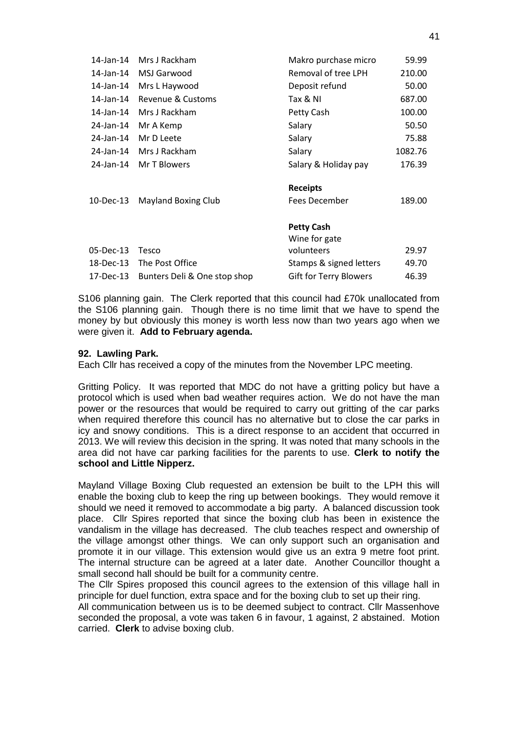| 14-Jan-14 | Mrs J Rackham                | Makro purchase micro    | 59.99   |
|-----------|------------------------------|-------------------------|---------|
| 14-Jan-14 | MSJ Garwood                  | Removal of tree LPH     | 210.00  |
| 14-Jan-14 | Mrs L Haywood                | Deposit refund          | 50.00   |
| 14-Jan-14 | Revenue & Customs            | Tax & NI                | 687.00  |
| 14-Jan-14 | Mrs J Rackham                | Petty Cash              | 100.00  |
| 24-Jan-14 | Mr A Kemp                    | Salary                  | 50.50   |
| 24-Jan-14 | Mr D Leete                   | Salary                  | 75.88   |
| 24-Jan-14 | Mrs J Rackham                | Salary                  | 1082.76 |
| 24-Jan-14 | Mr T Blowers                 | Salary & Holiday pay    | 176.39  |
|           |                              | <b>Receipts</b>         |         |
| 10-Dec-13 | <b>Mayland Boxing Club</b>   | Fees December           | 189.00  |
|           |                              | <b>Petty Cash</b>       |         |
|           |                              | Wine for gate           |         |
| 05-Dec-13 | Tesco                        | volunteers              | 29.97   |
| 18-Dec-13 | The Post Office              | Stamps & signed letters | 49.70   |
| 17-Dec-13 | Bunters Deli & One stop shop | Gift for Terry Blowers  | 46.39   |

S106 planning gain. The Clerk reported that this council had £70k unallocated from the S106 planning gain. Though there is no time limit that we have to spend the money by but obviously this money is worth less now than two years ago when we were given it. **Add to February agenda.**

## **92. Lawling Park.**

Each Cllr has received a copy of the minutes from the November LPC meeting.

Gritting Policy. It was reported that MDC do not have a gritting policy but have a protocol which is used when bad weather requires action. We do not have the man power or the resources that would be required to carry out gritting of the car parks when required therefore this council has no alternative but to close the car parks in icy and snowy conditions. This is a direct response to an accident that occurred in 2013. We will review this decision in the spring. It was noted that many schools in the area did not have car parking facilities for the parents to use. **Clerk to notify the school and Little Nipperz.**

Mayland Village Boxing Club requested an extension be built to the LPH this will enable the boxing club to keep the ring up between bookings. They would remove it should we need it removed to accommodate a big party. A balanced discussion took place. Cllr Spires reported that since the boxing club has been in existence the vandalism in the village has decreased. The club teaches respect and ownership of the village amongst other things. We can only support such an organisation and promote it in our village. This extension would give us an extra 9 metre foot print. The internal structure can be agreed at a later date. Another Councillor thought a small second hall should be built for a community centre.

The Cllr Spires proposed this council agrees to the extension of this village hall in principle for duel function, extra space and for the boxing club to set up their ring.

All communication between us is to be deemed subject to contract. Cllr Massenhove seconded the proposal, a vote was taken 6 in favour, 1 against, 2 abstained. Motion carried. **Clerk** to advise boxing club.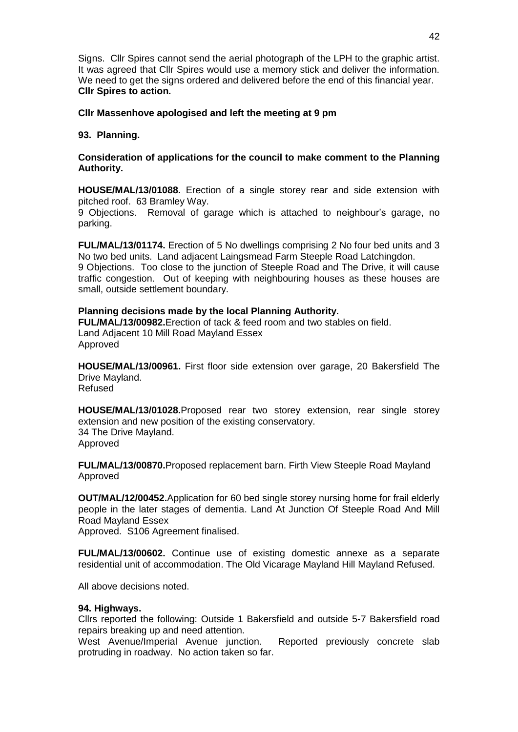Signs. Cllr Spires cannot send the aerial photograph of the LPH to the graphic artist. It was agreed that Cllr Spires would use a memory stick and deliver the information. We need to get the signs ordered and delivered before the end of this financial year. **Cllr Spires to action.**

# **Cllr Massenhove apologised and left the meeting at 9 pm**

## **93. Planning.**

# **Consideration of applications for the council to make comment to the Planning Authority.**

**HOUSE/MAL/13/01088.** Erection of a single storey rear and side extension with pitched roof. 63 Bramley Way.

9 Objections. Removal of garage which is attached to neighbour's garage, no parking.

**FUL/MAL/13/01174.** Erection of 5 No dwellings comprising 2 No four bed units and 3 No two bed units. Land adjacent Laingsmead Farm Steeple Road Latchingdon. 9 Objections. Too close to the junction of Steeple Road and The Drive, it will cause traffic congestion. Out of keeping with neighbouring houses as these houses are small, outside settlement boundary.

## **Planning decisions made by the local Planning Authority.**

**FUL/MAL/13/00982.**Erection of tack & feed room and two stables on field. Land Adjacent 10 Mill Road Mayland Essex Approved

**HOUSE/MAL/13/00961.** First floor side extension over garage, 20 Bakersfield The Drive Mayland. Refused

**HOUSE/MAL/13/01028.**Proposed rear two storey extension, rear single storey extension and new position of the existing conservatory. 34 The Drive Mayland. Approved

**FUL/MAL/13/00870.**Proposed replacement barn. Firth View Steeple Road Mayland Approved

**OUT/MAL/12/00452.**Application for 60 bed single storey nursing home for frail elderly people in the later stages of dementia. Land At Junction Of Steeple Road And Mill Road Mayland Essex Approved. S106 Agreement finalised.

**FUL/MAL/13/00602.** Continue use of existing domestic annexe as a separate residential unit of accommodation. The Old Vicarage Mayland Hill Mayland Refused.

All above decisions noted.

## **94. Highways.**

Cllrs reported the following: Outside 1 Bakersfield and outside 5-7 Bakersfield road repairs breaking up and need attention.

West Avenue/Imperial Avenue junction. Reported previously concrete slab protruding in roadway. No action taken so far.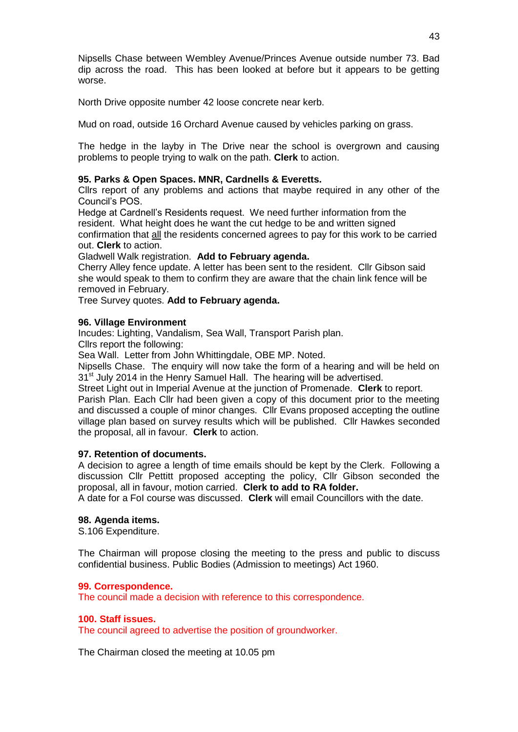Nipsells Chase between Wembley Avenue/Princes Avenue outside number 73. Bad dip across the road. This has been looked at before but it appears to be getting worse.

North Drive opposite number 42 loose concrete near kerb.

Mud on road, outside 16 Orchard Avenue caused by vehicles parking on grass.

The hedge in the layby in The Drive near the school is overgrown and causing problems to people trying to walk on the path. **Clerk** to action.

## **95. Parks & Open Spaces. MNR, Cardnells & Everetts.**

Cllrs report of any problems and actions that maybe required in any other of the Council's POS.

Hedge at Cardnell's Residents request. We need further information from the resident. What height does he want the cut hedge to be and written signed confirmation that all the residents concerned agrees to pay for this work to be carried out. **Clerk** to action.

Gladwell Walk registration. **Add to February agenda.**

Cherry Alley fence update. A letter has been sent to the resident. Cllr Gibson said she would speak to them to confirm they are aware that the chain link fence will be removed in February.

Tree Survey quotes. **Add to February agenda.**

## **96. Village Environment**

Incudes: Lighting, Vandalism, Sea Wall, Transport Parish plan.

Cllrs report the following:

Sea Wall. Letter from John Whittingdale, OBE MP. Noted.

Nipsells Chase. The enquiry will now take the form of a hearing and will be held on 31<sup>st</sup> July 2014 in the Henry Samuel Hall. The hearing will be advertised.

Street Light out in Imperial Avenue at the junction of Promenade. **Clerk** to report. Parish Plan. Each Cllr had been given a copy of this document prior to the meeting and discussed a couple of minor changes. Cllr Evans proposed accepting the outline village plan based on survey results which will be published. Cllr Hawkes seconded the proposal, all in favour. **Clerk** to action.

## **97. Retention of documents.**

A decision to agree a length of time emails should be kept by the Clerk. Following a discussion Cllr Pettitt proposed accepting the policy, Cllr Gibson seconded the proposal, all in favour, motion carried. **Clerk to add to RA folder.**

A date for a FoI course was discussed. **Clerk** will email Councillors with the date.

# **98. Agenda items.**

S.106 Expenditure.

The Chairman will propose closing the meeting to the press and public to discuss confidential business. Public Bodies (Admission to meetings) Act 1960.

## **99. Correspondence.**

The council made a decision with reference to this correspondence.

## **100. Staff issues.**

The council agreed to advertise the position of groundworker.

The Chairman closed the meeting at 10.05 pm